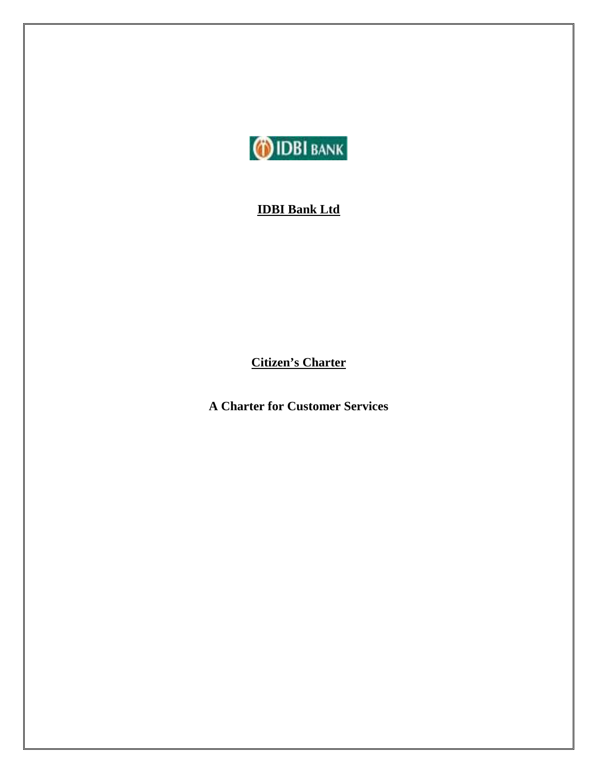

### **IDBI Bank Ltd**

**Citizen's Charter** 

**A Charter for Customer Services**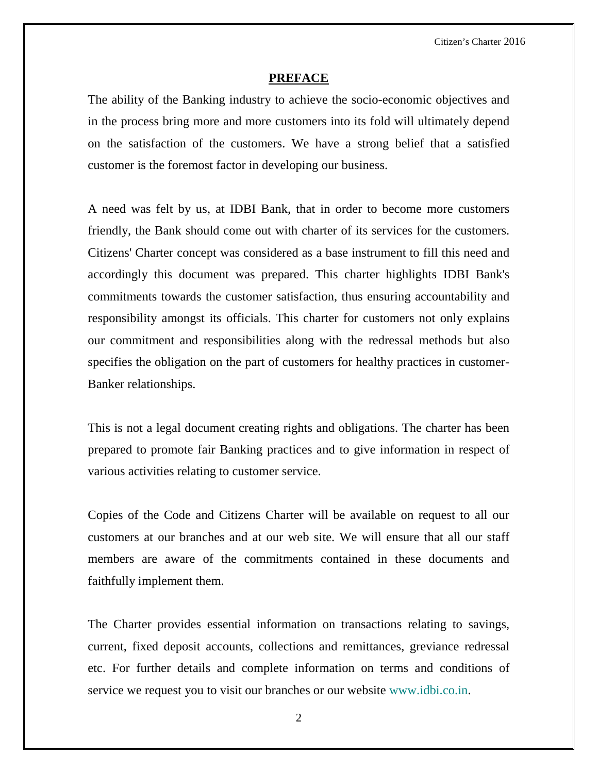Citizen's Charter 2016

#### **PREFACE**

The ability of the Banking industry to achieve the socio-economic objectives and in the process bring more and more customers into its fold will ultimately depend on the satisfaction of the customers. We have a strong belief that a satisfied customer is the foremost factor in developing our business.

A need was felt by us, at IDBI Bank, that in order to become more customers friendly, the Bank should come out with charter of its services for the customers. Citizens' Charter concept was considered as a base instrument to fill this need and accordingly this document was prepared. This charter highlights IDBI Bank's commitments towards the customer satisfaction, thus ensuring accountability and responsibility amongst its officials. This charter for customers not only explains our commitment and responsibilities along with the redressal methods but also specifies the obligation on the part of customers for healthy practices in customer-Banker relationships.

This is not a legal document creating rights and obligations. The charter has been prepared to promote fair Banking practices and to give information in respect of various activities relating to customer service.

Copies of the Code and Citizens Charter will be available on request to all our customers at our branches and at our web site. We will ensure that all our staff members are aware of the commitments contained in these documents and faithfully implement them.

The Charter provides essential information on transactions relating to savings, current, fixed deposit accounts, collections and remittances, greviance redressal etc. For further details and complete information on terms and conditions of service we request you to visit our branches or our website [www.idbi.co.in.](http://www.idbi.co.in/)

2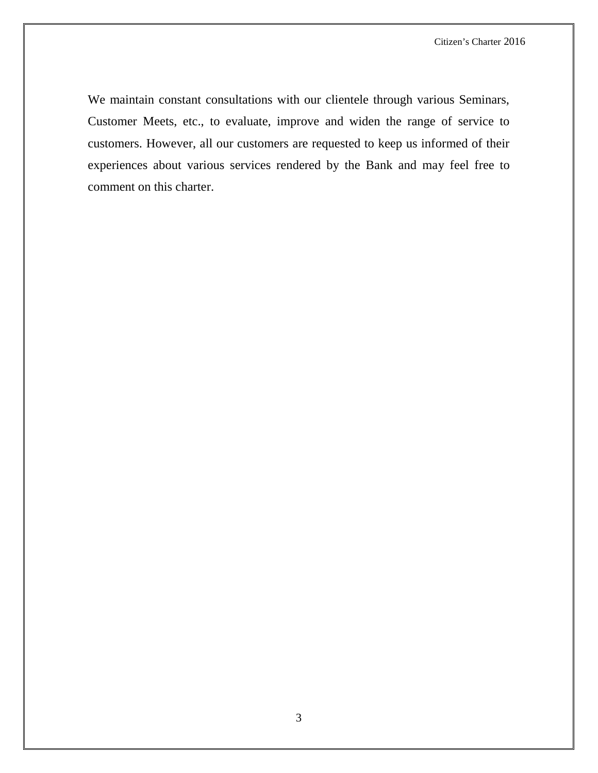We maintain constant consultations with our clientele through various Seminars, Customer Meets, etc., to evaluate, improve and widen the range of service to customers. However, all our customers are requested to keep us informed of their experiences about various services rendered by the Bank and may feel free to comment on this charter.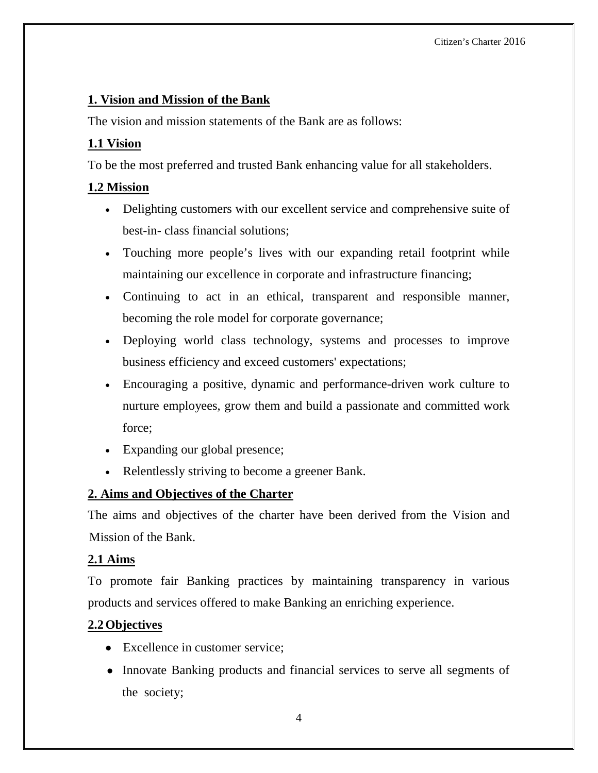### **1. Vision and Mission of the Bank**

The vision and mission statements of the Bank are as follows:

### **1.1 Vision**

To be the most preferred and trusted Bank enhancing value for all stakeholders.

### **1.2 Mission**

- Delighting customers with our excellent service and comprehensive suite of best-in- class financial solutions;
- Touching more people's lives with our expanding retail footprint while maintaining our excellence in corporate and infrastructure financing;
- Continuing to act in an ethical, transparent and responsible manner, becoming the role model for corporate governance;
- Deploying world class technology, systems and processes to improve business efficiency and exceed customers' expectations;
- Encouraging a positive, dynamic and performance-driven work culture to nurture employees, grow them and build a passionate and committed work force;
- Expanding our global presence;
- Relentlessly striving to become a greener Bank.

## **2. Aims and Objectives of the Charter**

The aims and objectives of the charter have been derived from the Vision and Mission of the Bank.

### **2.1 Aims**

To promote fair Banking practices by maintaining transparency in various products and services offered to make Banking an enriching experience.

### **2.2Objectives**

- Excellence in customer service:
- Innovate Banking products and financial services to serve all segments of the society;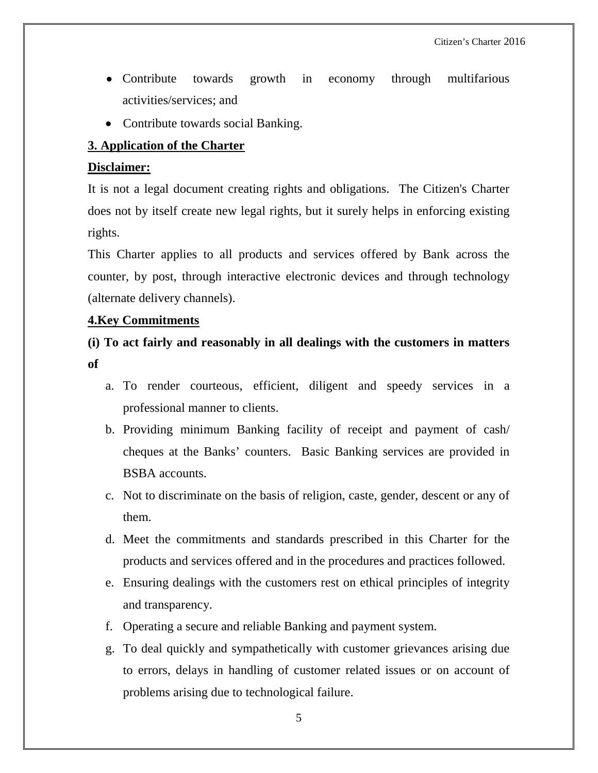- Contribute towards growth in economy through multifarious activities/services; and
- Contribute towards social Banking.

#### **3. Application of the Charter**

#### **Disclaimer:**

It is not a legal document creating rights and obligations. The Citizen's Charter does not by itself create new legal rights, but it surely helps in enforcing existing rights.

This Charter applies to all products and services offered by Bank across the counter, by post, through interactive electronic devices and through technology (alternate delivery channels).

#### **4.Key Commitments**

# **(i) To act fairly and reasonably in all dealings with the customers in matters of**

- a. To render courteous, efficient, diligent and speedy services in a professional manner to clients.
- b. Providing minimum Banking facility of receipt and payment of cash/ cheques at the Banks' counters. Basic Banking services are provided in BSBA accounts.
- c. Not to discriminate on the basis of religion, caste, gender, descent or any of them.
- d. Meet the commitments and standards prescribed in this Charter for the products and services offered and in the procedures and practices followed.
- e. Ensuring dealings with the customers rest on ethical principles of integrity and transparency.
- f. Operating a secure and reliable Banking and payment system.
- g. To deal quickly and sympathetically with customer grievances arising due to errors, delays in handling of customer related issues or on account of problems arising due to technological failure.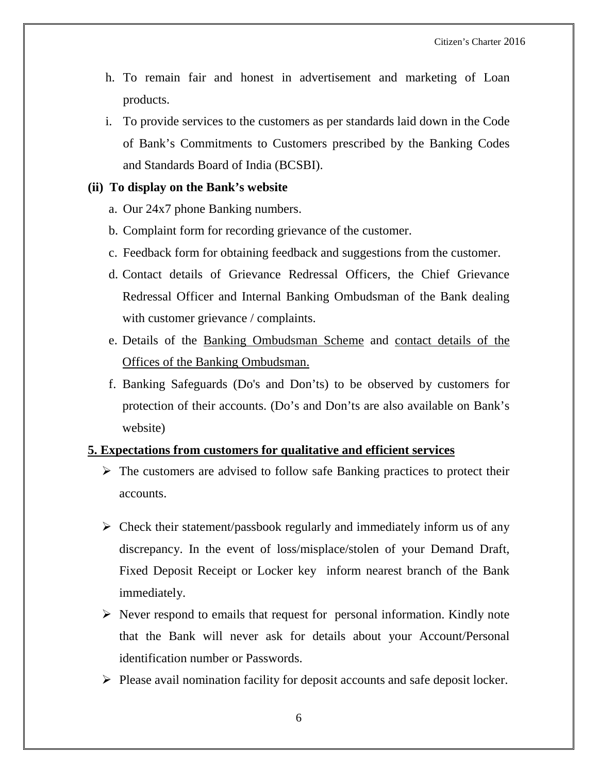- h. To remain fair and honest in advertisement and marketing of Loan products.
- i. To provide services to the customers as per standards laid down in the Code of Bank's Commitments to Customers prescribed by the Banking Codes and Standards Board of India (BCSBI).

#### **(ii) To display on the Bank's website**

- a. Our 24x7 phone Banking numbers.
- b. Complaint form for recording grievance of the customer.
- c. Feedback form for obtaining feedback and suggestions from the customer.
- d. Contact details of Grievance Redressal Officers, the Chief Grievance Redressal Officer and Internal Banking Ombudsman of the Bank dealing with customer grievance / complaints.
- e. Details of the Banking Ombudsman Scheme and contact details of the Offices of the Banking Ombudsman.
- f. Banking Safeguards (Do's and Don'ts) to be observed by customers for protection of their accounts. (Do's and Don'ts are also available on Bank's website)

#### **5. Expectations from customers for qualitative and efficient services**

- $\triangleright$  The customers are advised to follow safe Banking practices to protect their accounts.
- $\triangleright$  Check their statement/passbook regularly and immediately inform us of any discrepancy. In the event of loss/misplace/stolen of your Demand Draft, Fixed Deposit Receipt or Locker key inform nearest branch of the Bank immediately.
- $\triangleright$  Never respond to emails that request for personal information. Kindly note that the Bank will never ask for details about your Account/Personal identification number or Passwords.
- $\triangleright$  Please avail nomination facility for deposit accounts and safe deposit locker.